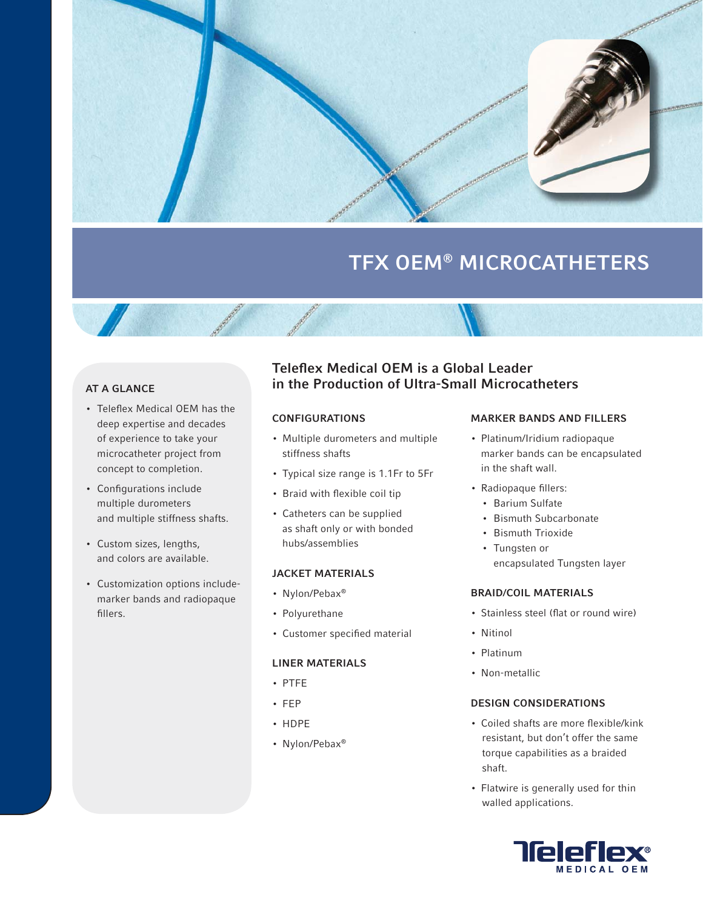

# TFX OEM® MICROCATHETERS

### AT A GLANCE

- Teleflex Medical OEM has the deep expertise and decades of experience to take your microcatheter project from concept to completion.
- Configurations include multiple durometers and multiple stiffness shafts.
- Custom sizes, lengths, and colors are available.
- Customization options includemarker bands and radiopaque fillers.

### Teleflex Medical OEM is a Global Leader in the Production of Ultra-Small Microcatheters

### CONFIGURATIONS

- Multiple durometers and multiple stiffness shafts
- Typical size range is 1.1Fr to 5Fr
- Braid with flexible coil tip
- Catheters can be supplied as shaft only or with bonded hubs/assemblies

#### JACKET MATERIALS

- Nylon/Pebax®
- Polyurethane
- Customer specified material

### LINER MATERIALS

- PTFE
- FEP
- HDPE
- Nylon/Pebax®

### MARKER BANDS AND FILLERS

- Platinum/Iridium radiopaque marker bands can be encapsulated in the shaft wall.
- Radiopaque fillers:
	- Barium Sulfate
	- Bismuth Subcarbonate
	- Bismuth Trioxide
	- Tungsten or
	- encapsulated Tungsten layer

### BRAID/COIL MATERIALS

- Stainless steel (flat or round wire)
- Nitinol
- Platinum
- Non-metallic

### DESIGN CONSIDERATIONS

- Coiled shafts are more flexible/kink resistant, but don't offer the same torque capabilities as a braided shaft.
- Flatwire is generally used for thin walled applications.